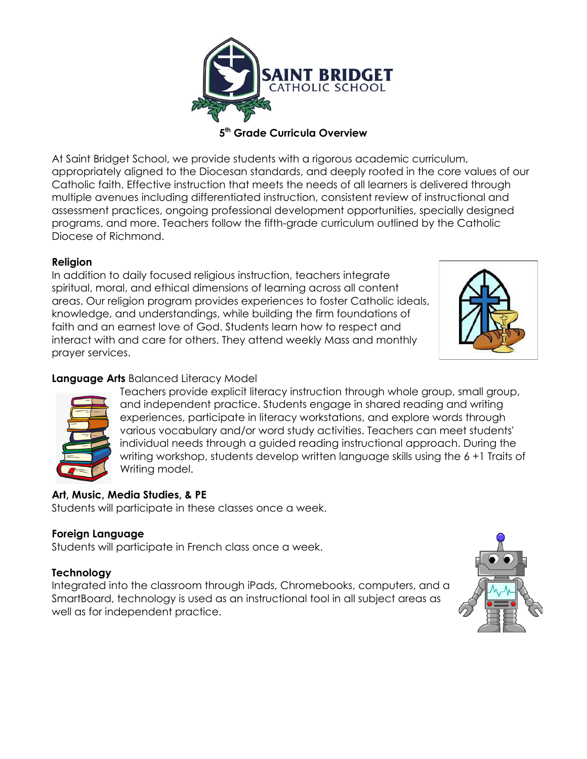

**5 th Grade Curricula Overview**

At Saint Bridget School, we provide students with a rigorous academic curriculum, appropriately aligned to the Diocesan standards, and deeply rooted in the core values of our Catholic faith. Effective instruction that meets the needs of all learners is delivered through multiple avenues including differentiated instruction, consistent review of instructional and assessment practices, ongoing professional development opportunities, specially designed programs, and more. Teachers follow the fifth-grade curriculum outlined by the Catholic Diocese of Richmond.

### **Religion**

In addition to daily focused religious instruction, teachers integrate spiritual, moral, and ethical dimensions of learning across all content areas. Our religion program provides experiences to foster Catholic ideals, knowledge, and understandings, while building the firm foundations of faith and an earnest love of God. Students learn how to respect and interact with and care for others. They attend weekly Mass and monthly prayer services.



### **Language Arts** Balanced Literacy Model



Teachers provide explicit literacy instruction through whole group, small group, and independent practice. Students engage in shared reading and writing experiences, participate in literacy workstations, and explore words through various vocabulary and/or word study activities. Teachers can meet students' individual needs through a guided reading instructional approach. During the writing workshop, students develop written language skills using the 6 +1 Traits of Writing model.

# **Art, Music, Media Studies, & PE**

Students will participate in these classes once a week.

### **Foreign Language**

Students will participate in French class once a week.

### **Technology**

Integrated into the classroom through iPads, Chromebooks, computers, and a SmartBoard, technology is used as an instructional tool in all subject areas as well as for independent practice.